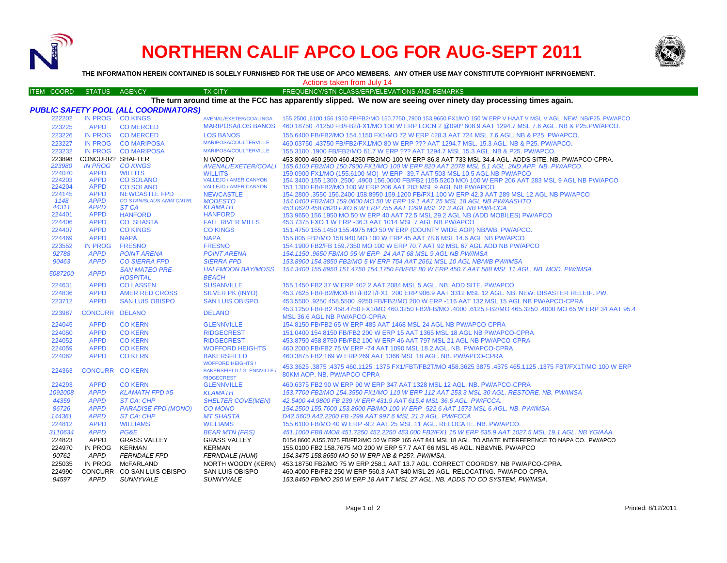

# **NORTHERN CALIF APCO LOG FOR AUG-SEPT 2011**



**THE INFORMATION HEREIN CONTAINED IS SOLELY FURNISHED FOR THE USE OF APCO MEMBERS. ANY OTHER USE MAY CONSTITUTE COPYRIGHT INFRINGEMENT.**

Actions taken from July 14

#### ITEM COORD STATUS AGENCY TX CITY TIREQUENCY/STN CLASS/ERP/ELEVATIONS AND REMARKS **The turn around time at the FCC has apparently slipped. We now are seeing over ninety day processing times again.**

|                  |                            | <b>PUBLIC SAFETY POOL (ALL COORDINATORS)</b> |                                                                                    | The turn around time at the FOO has apparently supped. The now are seemy over millety day processing times again.                            |
|------------------|----------------------------|----------------------------------------------|------------------------------------------------------------------------------------|----------------------------------------------------------------------------------------------------------------------------------------------|
| 222202           |                            | IN PROG CO KINGS                             | AVENAL/EXETER/COALINGA                                                             | 155.2500 ,6100 156.1950 FB/FB2/MO 150.7750 ,7900 153.9650 FX1/MO 150 W ERP V HAAT V MSL V AGL. NEW. NB/P25. PW/APCO.                         |
| 223225           | <b>APPD</b>                | <b>CO MERCED</b>                             | <b>MARIPOSA/LOS BANOS</b>                                                          | 460.18750 .41250 FB/FB2/FX1/MO 100 W ERP LOCN 2 @090° 608.9 AAT 1294.7 MSL 7.6 AGL. NB & P25.PW/APCO.                                        |
| 223226           | <b>IN PROG</b>             | <b>CO MERCED</b>                             | <b>LOS BANOS</b>                                                                   | 155.6400 FB/FB2/MO 154.1150 FX1/MO 72 W ERP 428.3 AAT 724 MSL 7.6 AGL, NB & P25, PW/APCO,                                                    |
| 223227           | <b>IN PROG</b>             | <b>CO MARIPOSA</b>                           | MARIPOSA/COULTERVILLE                                                              | 460.03750 .43750 FB/FB2/FX1/MO 80 W ERP ??? AAT 1294.7 MSL, 15.3 AGL, NB & P25, PW/APCO,                                                     |
| 223232           | <b>IN PROG</b>             | <b>CO MARIPOSA</b>                           | MARIPOSA/COULTERVILLE                                                              | 155.3100 .1900 FB/FB2/MO 61.7 W ERP ??? AAT 1294.7 MSL 15.3 AGL, NB & P25, PW/APCO.                                                          |
|                  | 223898 CONCURR? SHAFTER    |                                              | N WOODY                                                                            | 453.8000 460.2500 460.4250 FB2/MO 100 W ERP 86.8 AAT 733 MSL 34.4 AGL. ADDS SITE. NB. PW/APCO-CPRA.                                          |
| 223980           | <b>IN PROG</b>             | <b>CO KINGS</b>                              | AVENAL/EXETER/COALI                                                                | 155.6100 FB2/MO 150.7900 FX1/MO 100 W ERP 820 AAT 2078 MSL 6.1 AGL, 2ND APP, NB, PW/APCO,                                                    |
| 224070           | <b>APPD</b>                | <b>WILLITS</b>                               | <b>WILLITS</b>                                                                     | 159.0900 FX1/MO (155.6100 MO) W ERP -39.7 AAT 503 MSL 10.5 AGL NB PW/APCO                                                                    |
| 224203           | <b>APPD</b>                | <b>CO SOLANO</b>                             | VALLEJO / AMER.CANYON                                                              | 154.3400 155.1300 .2500 .4900 156.0000 FB/FB2 (155.5200 MO) 100 W ERP 206 AAT 283 MSL 9 AGL NB PW/APCO                                       |
| 224204           | <b>APPD</b>                | <b>CO SOLANO</b>                             | VALLEJO / AMER.CANYON                                                              | 151.1300 FB/FB2/MO 100 W ERP 206 AAT 283 MSL 9 AGL NB PW/APCO                                                                                |
| 224145           | <b>APPD</b>                | <b>NEWCASTLE FPD</b>                         | <b>NEWCASTLE</b>                                                                   | 154.2800 .3550 156.2400 158.8950 159.1200 FB/FX1 100 W ERP 42.3 AAT 289 MSL 12 AGL NB PW/APCO                                                |
| 1148             | <b>APPD</b>                | CO STANISLAUS ANIM CNTRL                     | <b>MODESTO</b>                                                                     | 154.0400 FB2/MO 159.0600 MO 50 W ERP 19.1 AAT 25 MSL 18 AGL NB PW/AASHTO                                                                     |
| 44311<br>224401  | <b>APPD</b><br><b>APPD</b> | ST <sub>CA</sub>                             | <b>KLAMATH</b><br><b>HANFORD</b>                                                   | 453.0620 458.0620 FXO 6 W ERP 755 AAT 1299 MSL 21.3 AGL NB PW/FCCA                                                                           |
| 224406           | <b>APPD</b>                | <b>HANFORD</b><br><b>CO SHASTA</b>           | <b>FALL RIVER MILLS</b>                                                            | 153.9650 156.1950 MO 50 W ERP 40 AAT 72.5 MSL 29.2 AGL NB (ADD MOBILES) PW/APCO                                                              |
|                  |                            |                                              |                                                                                    | 453.7375 FXO 1 W ERP -36.3 AAT 1014 MSL 7 AGL NB PW/APCO                                                                                     |
| 224407<br>224469 | <b>APPD</b><br><b>APPD</b> | <b>CO KINGS</b><br><b>NAPA</b>               | <b>CO KINGS</b><br><b>NAPA</b>                                                     | 151.4750 155.1450 155.4975 MO 50 W ERP (COUNTY WIDE AOP) NB/WB. PW/APCO.                                                                     |
|                  |                            |                                              |                                                                                    | 155,805 FB2/MO 158,940 MO 100 W ERP 45 AAT 78.6 MSL 14.6 AGL NB PW/APCO                                                                      |
| 223552           | <b>IN PROG</b>             | <b>FRESNO</b>                                | <b>FRESNO</b>                                                                      | 154,1900 FB2/FB 159,7350 MO 100 W ERP 70,7 AAT 92 MSL 67 AGL ADD NB PW/APCO                                                                  |
| 92788            | <b>APPD</b><br><b>APPD</b> | <b>POINT ARENA</b>                           | <b>POINT ARENA</b><br><b>SIERRA FPD</b>                                            | 154.1150.9650 FB/MO 95 W ERP -24 AAT 68 MSL 9 AGL NB PW/IMSA                                                                                 |
| 90463            |                            | <b>CO SIERRA FPD</b>                         |                                                                                    | 153.8900 154.3850 FB2/MO 5 W ERP 754 AAT 2661 MSL 10 AGL NB/WB PW/IMSA                                                                       |
| 5087200          | <b>APPD</b>                | <b>SAN MATEO PRE-</b><br><b>HOSPITAL</b>     | <b>HALFMOON BAY/MOSS</b><br><b>BEACH</b>                                           | 154.3400 155.8950 151.4750 154.1750 FB/FB2 80 W ERP 450.7 AAT 588 MSL 11 AGL. NB. MOD. PW/IMSA.                                              |
| 224631           | <b>APPD</b>                | <b>CO LASSEN</b>                             | <b>SUSANVILLE</b>                                                                  | 155.1450 FB2 37 W ERP 402.2 AAT 2084 MSL 5 AGL, NB, ADD SITE, PW/APCO.                                                                       |
| 224836           | <b>APPD</b>                | AMER RED CROSS                               | SILVER PK (INYO)                                                                   | 453.7625 FB/FB2/MO/FBT/FB2T/FX1 200 ERP 906.9 AAT 3312 MSL 12 AGL. NB. NEW. DISASTER RELEIF. PW.                                             |
| 223712           | <b>APPD</b>                | <b>SAN LUIS OBISPO</b>                       | <b>SAN LUIS OBISPO</b>                                                             | 453,5500 .9250 458,5500 .9250 FB/FB2/MO 200 W ERP -116 AAT 132 MSL 15 AGL NB PW/APCO-CPRA                                                    |
| 223987           | CONCURR DELANO             |                                              | <b>DELANO</b>                                                                      | 453.1250 FB/FB2 458.4750 FX1/MO 460.3250 FB2/FB/MO .4000 .6125 FB2/MO 465.3250 .4000 MO 65 W ERP 34 AAT 95.4<br>MSL 36.6 AGL NB PW/APCO-CPRA |
| 224045           | <b>APPD</b>                | <b>CO KERN</b>                               | <b>GLENNVILLE</b>                                                                  | 154,8150 FB/FB2 65 W ERP 485 AAT 1468 MSL 24 AGL NB PW/APCO-CPRA                                                                             |
| 224050           | <b>APPD</b>                | <b>CO KERN</b>                               | <b>RIDGECREST</b>                                                                  | 151.0400 154.8150 FB/FB2 200 W ERP 15 AAT 1365 MSL 18 AGL NB PW/APCO-CPRA                                                                    |
| 224052           | <b>APPD</b>                | <b>CO KERN</b>                               | <b>RIDGECREST</b>                                                                  | 453.8750 458.8750 FB/FB2 100 W ERP 46 AAT 797 MSL 21 AGL NB PW/APCO-CPRA                                                                     |
| 224059           | <b>APPD</b>                | <b>CO KERN</b>                               | <b>WOFFORD HEIGHTS</b>                                                             | 460.2000 FB/FB2 75 W ERP -74 AAT 1090 MSL 18.2 AGL, NB, PW/APCO-CPRA                                                                         |
| 224062           | <b>APPD</b>                | <b>CO KERN</b>                               | <b>BAKERSFIELD</b>                                                                 | 460.3875 FB2 169 W ERP 269 AAT 1366 MSL 18 AGL, NB, PW/APCO-CPRA                                                                             |
| 224363           | <b>CONCURR CO KERN</b>     |                                              | <b>WOFFORD HEIGHTS /</b><br><b>BAKERSFIELD / GLENNVILLE /</b><br><b>RIDGECREST</b> | 453.3625 .3875 .4375 460.1125 .1375 FX1/FBT/FB2T/MO 458.3625 3875 .4375 465.1125 .1375 FBT/FX1T/MO 100 W ERP<br>80KM AOP. NB. PW/APCO-CPRA   |
| 224293           | <b>APPD</b>                | <b>CO KERN</b>                               | <b>GLENNVILLE</b>                                                                  | 460.6375 FB2 90 W ERP 90 W ERP 347 AAT 1328 MSL 12 AGL. NB. PW/APCO-CPRA                                                                     |
| 1092008          | <b>APPD</b>                | <b>KLAMATH FPD #5</b>                        | <b>KLAMATH</b>                                                                     | 153.7700 FB2/MO 154.3550 FX1/MO 110 W ERP 112 AAT 253.3 MSL 30 AGL, RESTORE, NB, PW/IMSA                                                     |
| 44359            | <b>APPD</b>                | ST CA: CHP                                   | <b>SHELTER COVE(MEN)</b>                                                           | 42.5400 44.9800 FB 239 W ERP 431.9 AAT 615.4 MSL 36.6 AGL, PW/FCCA.                                                                          |
| 86726            | <b>APPD</b>                | <b>PARADISE FPD (MONO)</b>                   | <b>CO MONO</b>                                                                     | 154.2500 155.7600 153.8600 FB/MO 100 W ERP -522.6 AAT 1573 MSL 6 AGL. NB. PW/IMSA.                                                           |
| 144361           | <b>APPD</b>                | ST CA: CHP                                   | <b>MT SHASTA</b>                                                                   | D42.5600 A42.2200 FB -299 AAT 997.6 MSL 21.3 AGL, PW/FCCA                                                                                    |
| 224812           | <b>APPD</b>                | <b>WILLIAMS</b>                              | <b>WILLIAMS</b>                                                                    | 155,6100 FB/MO 40 W ERP -9.2 AAT 25 MSL 11 AGL, RELOCATE, NB, PW/APCO,                                                                       |
| 3110634          | <b>APPD</b>                | PG&E                                         | <b>BEAR MTN (FRS)</b>                                                              | 451.1000 FB8 /MO8 451.7250 452.2250 453.000 FB2/FX1 15 W ERP 635.9 AAT 1027.5 MSL 19.1 AGL. NB YG/AAA.                                       |
| 224823           | <b>APPD</b>                | <b>GRASS VALLEY</b>                          | <b>GRASS VALLEY</b>                                                                | D154,8600 A155,7075 FB/FB2/MO 50 W ERP 165 AAT 841 MSL 18 AGL. TO ABATE INTERFERENCE TO NAPA CO. PW/APCO                                     |
| 224970           | IN PROG                    | KERMAN                                       | <b>KERMAN</b>                                                                      | 155,0100 FB2 158,7675 MO 200 W ERP 57.7 AAT 66 MSL 46 AGL, NB&VNB, PW/APCO                                                                   |
| 90762            | <b>APPD</b>                | <b>FERNDALE FPD</b>                          | <b>FERNDALE (HUM)</b>                                                              | 154.3475 158.8650 MO 50 W ERP NB & P25?. PW/IMSA.                                                                                            |
| 225035           | IN PROG                    | <b>McFARLAND</b>                             | NORTH WOODY (KERN)                                                                 | 453.18750 FB2/MO 75 W ERP 258.1 AAT 13.7 AGL, CORRECT COORDS?, NB PW/APCO-CPRA.                                                              |
| 224990           |                            | CONCURR CO SAN LUIS OBISPO                   | <b>SAN LUIS OBISPO</b>                                                             | 460.4000 FB/FB2 250 W ERP 560.3 AAT 840 MSL 29 AGL. RELOCATING, PW/APCO-CPRA.                                                                |
| 94597            | APPD                       | <b>SUNNYVALE</b>                             | <b>SUNNYVALE</b>                                                                   | 153.8450 FB/MO 290 W ERP 18 AAT 7 MSL 27 AGL. NB. ADDS TO CO SYSTEM. PW/IMSA.                                                                |